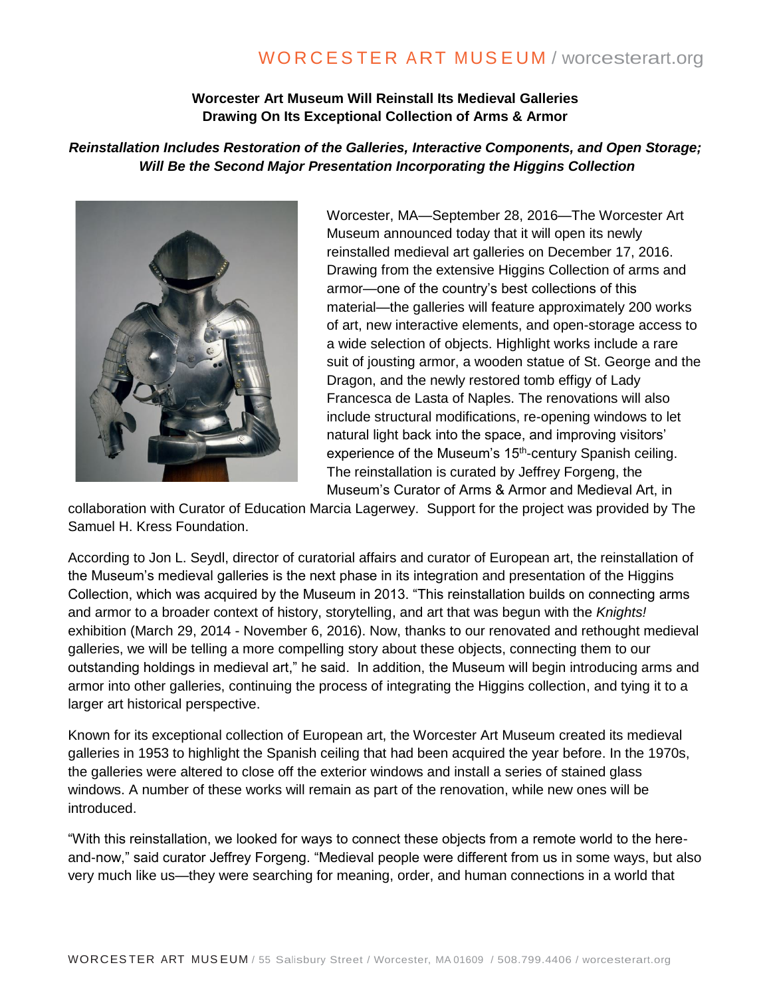# WORCESTER ART MUSEUM / worcesterart.org

### **Worcester Art Museum Will Reinstall Its Medieval Galleries Drawing On Its Exceptional Collection of Arms & Armor**

### *Reinstallation Includes Restoration of the Galleries, Interactive Components, and Open Storage; Will Be the Second Major Presentation Incorporating the Higgins Collection*



Worcester, MA—September 28, 2016—The Worcester Art Museum announced today that it will open its newly reinstalled medieval art galleries on December 17, 2016. Drawing from the extensive Higgins Collection of arms and armor—one of the country's best collections of this material—the galleries will feature approximately 200 works of art, new interactive elements, and open-storage access to a wide selection of objects. Highlight works include a rare suit of jousting armor, a wooden statue of St. George and the Dragon, and the newly restored tomb effigy of Lady Francesca de Lasta of Naples. The renovations will also include structural modifications, re-opening windows to let natural light back into the space, and improving visitors' experience of the Museum's 15<sup>th</sup>-century Spanish ceiling. The reinstallation is curated by Jeffrey Forgeng, the Museum's Curator of Arms & Armor and Medieval Art, in

collaboration with Curator of Education Marcia Lagerwey. Support for the project was provided by The Samuel H. Kress Foundation.

According to Jon L. Seydl, director of curatorial affairs and curator of European art, the reinstallation of the Museum's medieval galleries is the next phase in its integration and presentation of the Higgins Collection, which was acquired by the Museum in 2013. "This reinstallation builds on connecting arms and armor to a broader context of history, storytelling, and art that was begun with the *Knights!* exhibition (March 29, 2014 - November 6, 2016). Now, thanks to our renovated and rethought medieval galleries, we will be telling a more compelling story about these objects, connecting them to our outstanding holdings in medieval art," he said. In addition, the Museum will begin introducing arms and armor into other galleries, continuing the process of integrating the Higgins collection, and tying it to a larger art historical perspective.

Known for its exceptional collection of European art, the Worcester Art Museum created its medieval galleries in 1953 to highlight the Spanish ceiling that had been acquired the year before. In the 1970s, the galleries were altered to close off the exterior windows and install a series of stained glass windows. A number of these works will remain as part of the renovation, while new ones will be introduced.

"With this reinstallation, we looked for ways to connect these objects from a remote world to the hereand-now," said curator Jeffrey Forgeng. "Medieval people were different from us in some ways, but also very much like us—they were searching for meaning, order, and human connections in a world that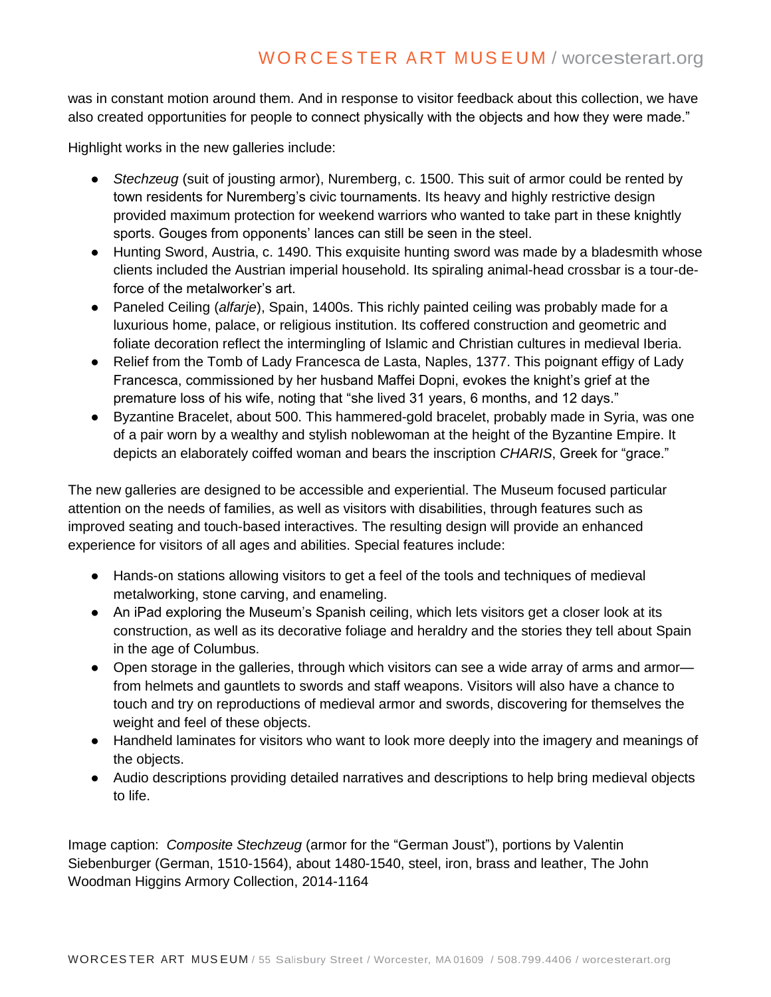# WORCESTER ART MUSEUM / worcesterart.org

was in constant motion around them. And in response to visitor feedback about this collection, we have also created opportunities for people to connect physically with the objects and how they were made."

Highlight works in the new galleries include:

- *Stechzeug* (suit of jousting armor), Nuremberg, c. 1500. This suit of armor could be rented by town residents for Nuremberg's civic tournaments. Its heavy and highly restrictive design provided maximum protection for weekend warriors who wanted to take part in these knightly sports. Gouges from opponents' lances can still be seen in the steel.
- Hunting Sword, Austria, c. 1490. This exquisite hunting sword was made by a bladesmith whose clients included the Austrian imperial household. Its spiraling animal-head crossbar is a tour-deforce of the metalworker's art.
- Paneled Ceiling (*alfarje*), Spain, 1400s. This richly painted ceiling was probably made for a luxurious home, palace, or religious institution. Its coffered construction and geometric and foliate decoration reflect the intermingling of Islamic and Christian cultures in medieval Iberia.
- Relief from the Tomb of Lady Francesca de Lasta, Naples, 1377. This poignant effigy of Lady Francesca, commissioned by her husband Maffei Dopni, evokes the knight's grief at the premature loss of his wife, noting that "she lived 31 years, 6 months, and 12 days."
- Byzantine Bracelet, about 500. This hammered-gold bracelet, probably made in Syria, was one of a pair worn by a wealthy and stylish noblewoman at the height of the Byzantine Empire. It depicts an elaborately coiffed woman and bears the inscription *CHARIS*, Greek for "grace."

The new galleries are designed to be accessible and experiential. The Museum focused particular attention on the needs of families, as well as visitors with disabilities, through features such as improved seating and touch-based interactives. The resulting design will provide an enhanced experience for visitors of all ages and abilities. Special features include:

- Hands-on stations allowing visitors to get a feel of the tools and techniques of medieval metalworking, stone carving, and enameling.
- An iPad exploring the Museum's Spanish ceiling, which lets visitors get a closer look at its construction, as well as its decorative foliage and heraldry and the stories they tell about Spain in the age of Columbus.
- Open storage in the galleries, through which visitors can see a wide array of arms and armor from helmets and gauntlets to swords and staff weapons. Visitors will also have a chance to touch and try on reproductions of medieval armor and swords, discovering for themselves the weight and feel of these objects.
- Handheld laminates for visitors who want to look more deeply into the imagery and meanings of the objects.
- Audio descriptions providing detailed narratives and descriptions to help bring medieval objects to life.

Image caption: *Composite Stechzeug* (armor for the "German Joust"), portions by Valentin Siebenburger (German, 1510-1564), about 1480-1540, steel, iron, brass and leather, The John Woodman Higgins Armory Collection, 2014-1164